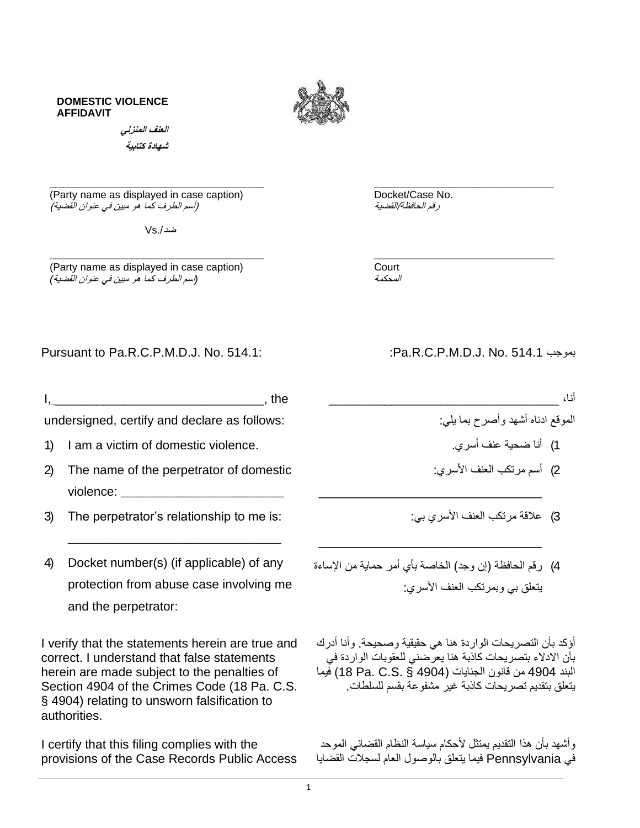## **DOMESTIC VIOLENCE AFFIDAVIT**



**\_\_\_\_\_\_\_\_\_\_\_\_\_\_\_\_\_\_\_\_\_\_\_\_\_\_\_\_\_\_\_\_\_\_\_\_\_ \_\_\_\_\_\_\_\_\_\_\_\_\_\_\_\_\_\_\_\_\_\_\_\_\_\_\_\_\_\_\_**

**\_\_\_\_\_\_\_\_\_\_\_\_\_\_\_\_\_\_\_\_\_\_\_\_\_\_\_\_\_\_\_\_\_\_\_\_\_ \_\_\_\_\_\_\_\_\_\_\_\_\_\_\_\_\_\_\_\_\_\_\_\_\_\_\_\_\_\_\_** (Party name as displayed in case caption) Docket/Case No.<br>ر*قم الحافظة/القضية (السو الطرف كما هو مبين في عنوان القضية)* (أسم الطرف كما هو مبين في عنوان القضية)

**العنف المنزلي شهادة كتابية** 

 $Vs / \omega$ 

(Party name as displayed in case caption) Court *(*اسم الطرف كما هو مبين في عنوان القضية*)*

المحكمة

## Pursuant to Pa.R.C.P.M.D.J. No. 514.1: :Pa.R.C.P.M.D.J. No. 514.1 بموجب

 $I,$ 

undersigned, certify and declare as follows:

- 1) I am a victim of domestic violence.
- 2) The name of the perpetrator of domestic violence: \_\_\_\_\_\_\_\_\_\_\_\_\_\_\_\_\_\_\_\_\_\_\_\_\_\_
- 3) The perpetrator's relationship to me is:
- 4) Docket number(s) (if applicable) of any protection from abuse case involving me and the perpetrator:

\_\_\_\_\_\_\_\_\_\_\_\_\_\_\_\_\_\_\_\_\_\_\_\_\_\_\_\_\_\_\_\_\_\_

I verify that the statements herein are true and correct. I understand that false statements herein are made subject to the penalties of Section 4904 of the Crimes Code (18 Pa. C.S. § 4904) relating to unsworn falsification to authorities.

I certify that this filing complies with the provisions of the Case Records Public Access

أنا، \_\_\_\_\_\_\_\_\_\_\_\_\_\_\_\_\_\_\_\_\_\_\_\_\_\_\_\_\_\_\_\_\_

- الموقع ادناه أشهد وأصرح بما يلي:
	- 1( أنا ضحية عنف أسري.
- 2) أسم مرتكب العنف الأسري:
- 3( عالقة مرتكب العنف األسري بي:
- 4) ( قم الحافظة (إن وجد) الخاصة بأي أمر حماية من الإساءة يتعلق بي وبمرتكب العنف األسري:

\_\_\_\_\_\_\_\_\_\_\_\_\_\_\_\_\_\_\_\_\_\_\_\_\_\_\_\_\_\_\_\_

 $\mathcal{L}_\text{max}$  , and the set of the set of the set of the set of the set of the set of the set of the set of the set of the set of the set of the set of the set of the set of the set of the set of the set of the set of the

أؤكد بأن التصريحات الواردة هنا هي حقيقية وصحيحة. وأنا أدرك بأن االدالء بتصريحات كاذبة هنا يعرضني للعقوبات الواردة في البند 4904 من قانون الجنايات )4904 § .S.C .Pa 18 )فيما يتعلق بتقديم تصريحات كاذبة غير مشفوعة بقسم للسلطات.

وأشهد بأن هذا التقديم يمتثل ألحكام سياسة النظام القضائي الموحد في Pennsylvania فيما يتعلق بالوصول العام لسجالت القضايا